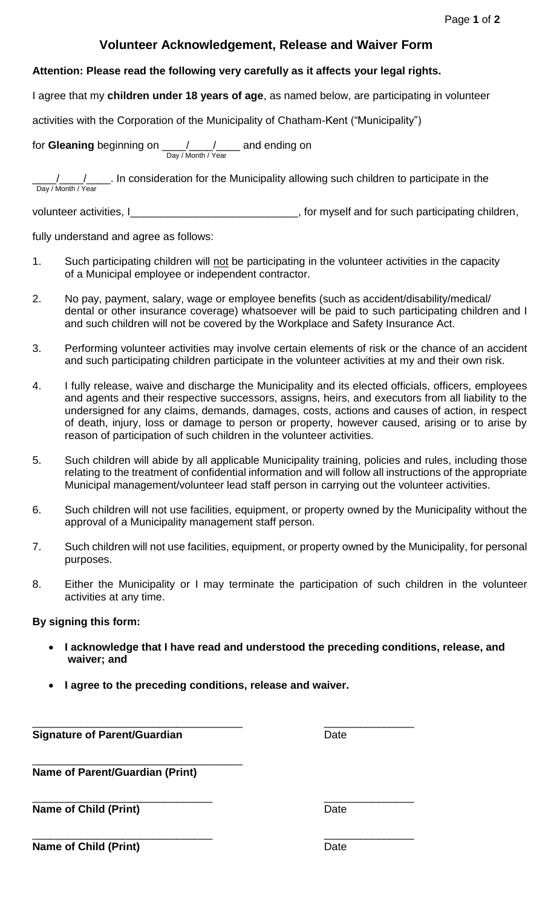## **Volunteer Acknowledgement, Release and Waiver Form**

## **Attention: Please read the following very carefully as it affects your legal rights.**

I agree that my **children under 18 years of age**, as named below, are participating in volunteer

activities with the Corporation of the Municipality of Chatham-Kent ("Municipality")

for Gleaning beginning on  $\underline{\hspace{1cm}}$  / \_\_\_ / \_\_\_\_ and ending on Day / Month / Year

.... In consideration for the Municipality allowing such children to participate in the Day / Month / Year

volunteer activities, I\_\_\_\_\_\_\_\_\_\_\_\_\_\_\_\_\_\_\_\_\_\_\_\_\_\_\_\_\_\_, for myself and for such participating children,

fully understand and agree as follows:

- 1. Such participating children will not be participating in the volunteer activities in the capacity of a Municipal employee or independent contractor.
- 2. No pay, payment, salary, wage or employee benefits (such as accident/disability/medical/ dental or other insurance coverage) whatsoever will be paid to such participating children and I and such children will not be covered by the Workplace and Safety Insurance Act.
- 3. Performing volunteer activities may involve certain elements of risk or the chance of an accident and such participating children participate in the volunteer activities at my and their own risk.
- 4. I fully release, waive and discharge the Municipality and its elected officials, officers, employees and agents and their respective successors, assigns, heirs, and executors from all liability to the undersigned for any claims, demands, damages, costs, actions and causes of action, in respect of death, injury, loss or damage to person or property, however caused, arising or to arise by reason of participation of such children in the volunteer activities.
- 5. Such children will abide by all applicable Municipality training, policies and rules, including those relating to the treatment of confidential information and will follow all instructions of the appropriate Municipal management/volunteer lead staff person in carrying out the volunteer activities.
- 6. Such children will not use facilities, equipment, or property owned by the Municipality without the approval of a Municipality management staff person.
- 7. Such children will not use facilities, equipment, or property owned by the Municipality, for personal purposes.
- 8. Either the Municipality or I may terminate the participation of such children in the volunteer activities at any time.

## **By signing this form:**

- **I acknowledge that I have read and understood the preceding conditions, release, and waiver; and**
- **I agree to the preceding conditions, release and waiver.**

\_\_\_\_\_\_\_\_\_\_\_\_\_\_\_\_\_\_\_\_\_\_\_\_\_\_\_\_\_\_\_\_\_\_\_ \_\_\_\_\_\_\_\_\_\_\_\_\_\_\_ **Signature of Parent/Guardian** Date

\_\_\_\_\_\_\_\_\_\_\_\_\_\_\_\_\_\_\_\_\_\_\_\_\_\_\_\_\_\_\_\_\_\_\_ **Name of Parent/Guardian (Print)**

**Name of Child (Print)** Date

 $\overline{\phantom{a}}$  , and the contract of the contract of the contract of the contract of the contract of the contract of the contract of the contract of the contract of the contract of the contract of the contract of the contrac

\_\_\_\_\_\_\_\_\_\_\_\_\_\_\_\_\_\_\_\_\_\_\_\_\_\_\_\_\_\_ \_\_\_\_\_\_\_\_\_\_\_\_\_\_\_ **Name of Child (Print)** Date